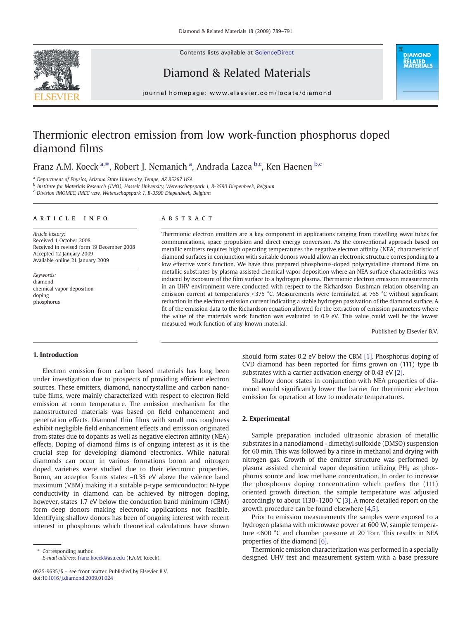Contents lists available at [ScienceDirect](http://www.sciencedirect.com/science/journal/09259635)



Diamond & Related Materials

**DIAMOND RELATED<br>MATERIALS** 

#### journal homepage: www.elsevier.com/locate/diamond

# Thermionic electron emission from low work-function phosphorus doped diamond films

## Franz A.M. Koeck <sup>a,\*</sup>, Robert J. Nemanich <sup>a</sup>, Andrada Lazea <sup>b,c</sup>, Ken Haenen <sup>b,c</sup>

<sup>a</sup> Department of Physics, Arizona State University, Tempe, AZ 85287 USA

<sup>b</sup> Institute for Materials Research (IMO), Hasselt University, Wetenschapspark 1, B-3590 Diepenbeek, Belgium

<sup>c</sup> Division IMOMEC, IMEC vzw, Wetenschapspark 1, B-3590 Diepenbeek, Belgium

#### article info abstract

Article history: Received 1 October 2008 Received in revised form 19 December 2008 Accepted 12 January 2009 Available online 21 January 2009

Keywords: diamond chemical vapor deposition doping phosphorus

Thermionic electron emitters are a key component in applications ranging from travelling wave tubes for communications, space propulsion and direct energy conversion. As the conventional approach based on metallic emitters requires high operating temperatures the negative electron affinity (NEA) characteristic of diamond surfaces in conjunction with suitable donors would allow an electronic structure corresponding to a low effective work function. We have thus prepared phosphorus-doped polycrystalline diamond films on metallic substrates by plasma assisted chemical vapor deposition where an NEA surface characteristics was induced by exposure of the film surface to a hydrogen plasma. Thermionic electron emission measurements in an UHV environment were conducted with respect to the Richardson–Dushman relation observing an emission current at temperatures <375 °C. Measurements were terminated at 765 °C without significant reduction in the electron emission current indicating a stable hydrogen passivation of the diamond surface. A fit of the emission data to the Richardson equation allowed for the extraction of emission parameters where the value of the materials work function was evaluated to 0.9 eV. This value could well be the lowest measured work function of any known material.

Published by Elsevier B.V.

#### 1. Introduction

Electron emission from carbon based materials has long been under investigation due to prospects of providing efficient electron sources. These emitters, diamond, nanocrystalline and carbon nanotube films, were mainly characterized with respect to electron field emission at room temperature. The emission mechanism for the nanostructured materials was based on field enhancement and penetration effects. Diamond thin films with small rms roughness exhibit negligible field enhancement effects and emission originated from states due to dopants as well as negative electron affinity (NEA) effects. Doping of diamond films is of ongoing interest as it is the crucial step for developing diamond electronics. While natural diamonds can occur in various formations boron and nitrogen doped varieties were studied due to their electronic properties. Boron, an acceptor forms states ~0.35 eV above the valence band maximum (VBM) making it a suitable p-type semiconductor. N-type conductivity in diamond can be achieved by nitrogen doping, however, states 1.7 eV below the conduction band minimum (CBM) form deep donors making electronic applications not feasible. Identifying shallow donors has been of ongoing interest with recent interest in phosphorus which theoretical calculations have shown

should form states 0.2 eV below the CBM [\[1\].](#page-2-0) Phosphorus doping of CVD diamond has been reported for films grown on (111) type Ib substrates with a carrier activation energy of 0.43 eV [\[2\].](#page-2-0)

Shallow donor states in conjunction with NEA properties of diamond would significantly lower the barrier for thermionic electron emission for operation at low to moderate temperatures.

#### 2. Experimental

Sample preparation included ultrasonic abrasion of metallic substrates in a nanodiamond - dimethyl sulfoxide (DMSO) suspension for 60 min. This was followed by a rinse in methanol and drying with nitrogen gas. Growth of the emitter structure was performed by plasma assisted chemical vapor deposition utilizing  $PH_3$  as phosphorus source and low methane concentration. In order to increase the phosphorus doping concentration which prefers the (111) oriented growth direction, the sample temperature was adjusted accordingly to about 1130–1200 °C [\[3\]](#page-2-0). A more detailed report on the growth procedure can be found elsewhere [\[4,5\]](#page-2-0).

Prior to emission measurements the samples were exposed to a hydrogen plasma with microwave power at 600 W, sample temperature <600 °C and chamber pressure at 20 Torr. This results in NEA properties of the diamond [\[6\].](#page-2-0)

Thermionic emission characterization was performed in a specially designed UHV test and measurement system with a base pressure

<sup>⁎</sup> Corresponding author. E-mail address: [franz.koeck@asu.edu](mailto:franz.koeck@asu.edu) (F.A.M. Koeck).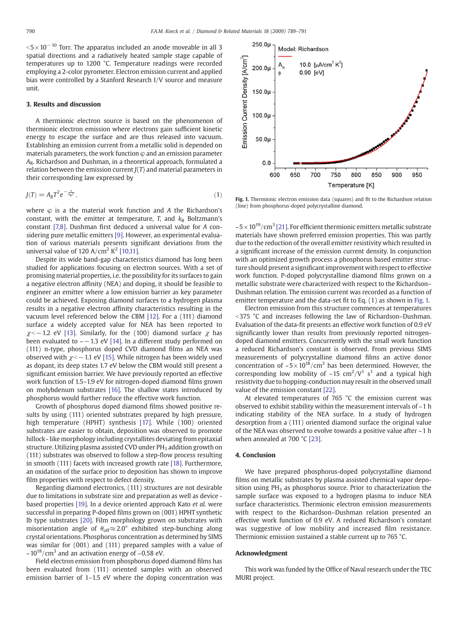250.00

Model: Richardson

 $5\times10^{-10}$  Torr. The apparatus included an anode moveable in all 3 spatial directions and a radiatively heated sample stage capable of temperatures up to 1200 °C. Temperature readings were recorded employing a 2-color pyrometer. Electron emission current and applied bias were controlled by a Stanford Research I/V source and measure unit.

#### 3. Results and discussion

A thermionic electron source is based on the phenomenon of thermionic electron emission where electrons gain sufficient kinetic energy to escape the surface and are thus released into vacuum. Establishing an emission current from a metallic solid is depended on materials parameters, the work function  $\varphi$  and an emission parameter  $A_R$ . Richardson and Dushman, in a theoretical approach, formulated a relation between the emission current  $J(T)$  and material parameters in their corresponding law expressed by

$$
J(T) = A_R T^2 e^{-\frac{\varphi}{k_B T}},\tag{1}
$$

where  $\varphi$  is a the material work function and A the Richardson's constant, with the emitter at temperature,  $T$ , and  $k_B$  Boltzmann's constant [\[7,8\]](#page-2-0). Dushman first deduced a universal value for A considering pure metallic emitters [\[9\]](#page-2-0). However, an experimental evaluation of various materials presents significant deviations from the universal value of 120 A/cm<sup>2</sup> K<sup>2</sup> [\[10,11\].](#page-2-0)

Despite its wide band-gap characteristics diamond has long been studied for applications focusing on electron sources. With a set of promising material properties, i.e. the possibility for its surfaces to gain a negative electron affinity (NEA) and doping, it should be feasible to engineer an emitter where a low emission barrier as key parameter could be achieved. Exposing diamond surfaces to a hydrogen plasma results in a negative electron affinity characteristics resulting in the vacuum level referenced below the CBM [\[12\].](#page-2-0) For a (111) diamond surface a widely accepted value for NEA has been reported to  $\chi$ < − 1.2 eV [\[13\].](#page-2-0) Similarly, for the (100) diamond surface  $\chi$  has been evaluated to  $~1.3$  eV [\[14\]](#page-2-0). In a different study performed on (111) n-type, phosphorus doped CVD diamond films an NEA was observed with χb−1.1 eV [\[15\].](#page-2-0) While nitrogen has been widely used as dopant, its deep states 1.7 eV below the CBM would still present a significant emission barrier. We have previously reported an effective work function of 1.5–1.9 eV for nitrogen-doped diamond films grown on molybdenum substrates [\[16\].](#page-2-0) The shallow states introduced by phosphorus would further reduce the effective work function.

Growth of phosphorus doped diamond films showed positive results by using (111) oriented substrates prepared by high pressure, high temperature (HPHT) synthesis [\[17\]](#page-2-0). While (100) oriented substrates are easier to obtain, deposition was observed to promote hillock - like morphology including crystallites deviating from epitaxial structure. Utilizing plasma assisted CVD under PH<sub>3</sub> addition growth on (111) substrates was observed to follow a step-flow process resulting in smooth (111) facets with increased growth rate [\[18\].](#page-2-0) Furthermore, an oxidation of the surface prior to deposition has shown to improve film properties with respect to defect density.

Regarding diamond electronics, (111) structures are not desirable due to limitations in substrate size and preparation as well as device based properties [\[19\]](#page-2-0). In a device oriented approach Kato et al. were successful in preparing P-doped films grown on (001) HPHT synthetic Ib type substrates [\[20\].](#page-2-0) Film morphology grown on substrates with misorientation angle of  $\theta_{\text{off}} \approx 2.0^{\circ}$  exhibited step-bunching along crystal orientations. Phosphorus concentration as determined by SIMS was similar for (001) and (111) prepared samples with a value of  $\sim 10^{18}/\text{cm}^3$  and an activation energy of  $\sim 0.58$  eV.

Field electron emission from phosphorus doped diamond films has been evaluated from (111) oriented samples with an observed emission barrier of 1–1.5 eV where the doping concentration was



Fig. 1. Thermionic electron emission data (squares) and fit to the Richardson relation (line) from phosphorus-doped polycrystalline diamond.

 $\sim$  5  $\times$  10<sup>19</sup>/cm<sup>3</sup> [\[21\]](#page-2-0). For efficient thermionic emitters metallic substrate materials have shown preferred emission properties. This was partly due to the reduction of the overall emitter resistivity which resulted in a significant increase of the emission current density. In conjunction with an optimized growth process a phosphorus based emitter structure should present a significant improvement with respect to effective work function. P-doped polycrystalline diamond films grown on a metallic substrate were characterized with respect to the Richardson– Dushman relation. The emission current was recorded as a function of emitter temperature and the data-set fit to Eq. (1) as shown in Fig. 1.

Electron emission from this structure commences at temperatures <375 °C and increases following the law of Richardson–Dushman. Evaluation of the data-fit presents an effective work function of 0.9 eV significantly lower than results from previously reported nitrogendoped diamond emitters. Concurrently with the small work function a reduced Richardson's constant is observed. From previous SIMS measurements of polycrystalline diamond films an active donor concentration of  $\approx 5 \times 10^{18}$ /cm<sup>3</sup> has been determined. However, the corresponding low mobility of ~15  $\text{cm}^2/\text{V}^1$  s<sup>1</sup> and a typical high resistivity due to hopping-conduction may result in the observed small value of the emission constant [\[22\].](#page-2-0)

At elevated temperatures of 765 °C the emission current was observed to exhibit stability within the measurement intervals of ~1 h indicating stability of the NEA surface. In a study of hydrogen desorption from a (111) oriented diamond surface the original value of the NEA was observed to evolve towards a positive value after ~1 h when annealed at 700 °C [\[23\].](#page-2-0)

#### 4. Conclusion

We have prepared phosphorus-doped polycrystalline diamond films on metallic substrates by plasma assisted chemical vapor deposition using  $PH_3$  as phosphorus source. Prior to characterization the sample surface was exposed to a hydrogen plasma to induce NEA surface characteristics. Thermionic electron emission measurements with respect to the Richardson–Dushman relation presented an effective work function of 0.9 eV. A reduced Richardson's constant was suggestive of low mobility and increased film resistance. Thermionic emission sustained a stable current up to 765 °C.

#### Acknowledgment

This work was funded by the Office of Naval research under the TEC MURI project.